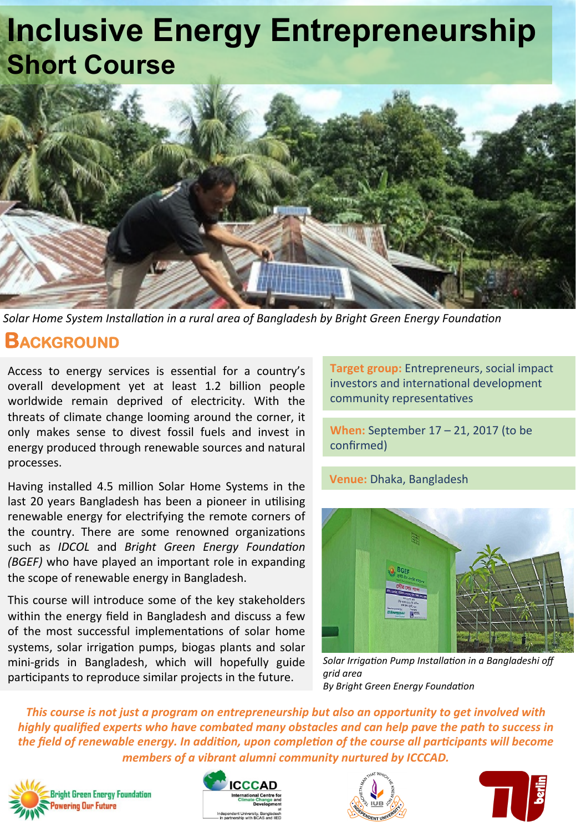## **Inclusive Energy Entrepreneurship Short Course**



*Solar Home System Installa/on in a rural area of Bangladesh by Bright Green Energy Founda/on*

#### **BACKGROUND**

Access to energy services is essential for a country's overall development yet at least 1.2 billion people worldwide remain deprived of electricity. With the threats of climate change looming around the corner, it only makes sense to divest fossil fuels and invest in energy produced through renewable sources and natural processes. 

Having installed 4.5 million Solar Home Systems in the last 20 years Bangladesh has been a pioneer in utilising renewable energy for electrifying the remote corners of the country. There are some renowned organizations such as *IDCOL* and *Bright Green Energy Foundation (BGEF)* who have played an important role in expanding the scope of renewable energy in Bangladesh.

This course will introduce some of the key stakeholders within the energy field in Bangladesh and discuss a few of the most successful implementations of solar home systems, solar irrigation pumps, biogas plants and solar mini-grids in Bangladesh, which will hopefully guide participants to reproduce similar projects in the future.

**Target group:** Entrepreneurs, social impact investors and international development community representatives

**When:** September 17 – 21, 2017 (to be confirmed) 

**Venue:** Dhaka, Bangladesh



Solar Irrigation Pump Installation in a Bangladeshi off *grid area* **By Bright Green Energy Foundation** 

This course is not just a program on entrepreneurship but also an opportunity to get involved with *highly* qualified experts who have combated many obstacles and can help pave the path to success in the field of renewable energy. In addition, upon completion of the course all participants will become *members of a vibrant alumni community nurtured by ICCCAD.*